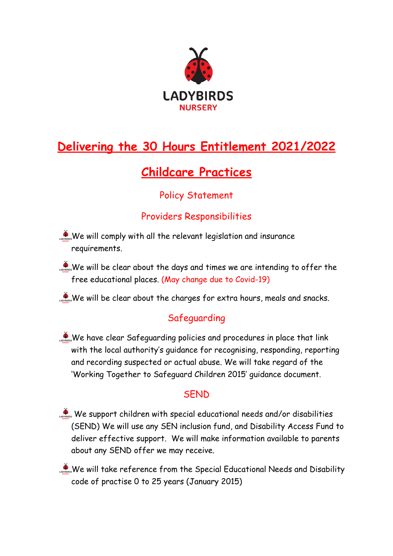

# **Delivering the 30 Hours Entitlement 2021/2022**

## **Childcare Practices**

## Policy Statement

#### Providers Responsibilities

- We will comply with all the relevant legislation and insurance requirements.
- We will be clear about the days and times we are intending to offer the free educational places. (May change due to Covid-19)

We will be clear about the charges for extra hours, meals and snacks.

## Safeguarding

We have clear Safeguarding policies and procedures in place that link with the local authority's guidance for recognising, responding, reporting and recording suspected or actual abuse. We will take regard of the 'Working Together to Safeguard Children 2015' guidance document.

#### **SFND**

- We support children with special educational needs and/or disabilities (SEND) We will use any SEN inclusion fund, and Disability Access Fund to deliver effective support. We will make information available to parents about any SEND offer we may receive.
- We will take reference from the Special Educational Needs and Disability code of practise 0 to 25 years (January 2015)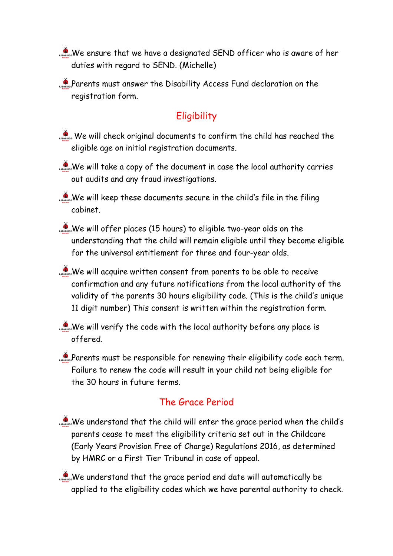We ensure that we have a designated SEND officer who is aware of her duties with regard to SEND. (Michelle)

Parents must answer the Disability Access Fund declaration on the registration form.

## **Eligibility**

- We will check original documents to confirm the child has reached the eligible age on initial registration documents.
- $\sum_{n=1}^{\infty}$  We will take a copy of the document in case the local authority carries out audits and any fraud investigations.

We will keep these documents secure in the child's file in the filing cabinet.

- We will offer places (15 hours) to eligible two-year olds on the understanding that the child will remain eligible until they become eligible for the universal entitlement for three and four-year olds.
- We will acquire written consent from parents to be able to receive confirmation and any future notifications from the local authority of the validity of the parents 30 hours eligibility code. (This is the child's unique 11 digit number) This consent is written within the registration form.
- We will verify the code with the local authority before any place is offered.
- $\sum_{n=1}^{\infty}$ Parents must be responsible for renewing their eligibility code each term. Failure to renew the code will result in your child not being eligible for the 30 hours in future terms.

#### The Grace Period

- We understand that the child will enter the grace period when the child's parents cease to meet the eligibility criteria set out in the Childcare (Early Years Provision Free of Charge) Regulations 2016, as determined by HMRC or a First Tier Tribunal in case of appeal.
- We understand that the grace period end date will automatically be applied to the eligibility codes which we have parental authority to check.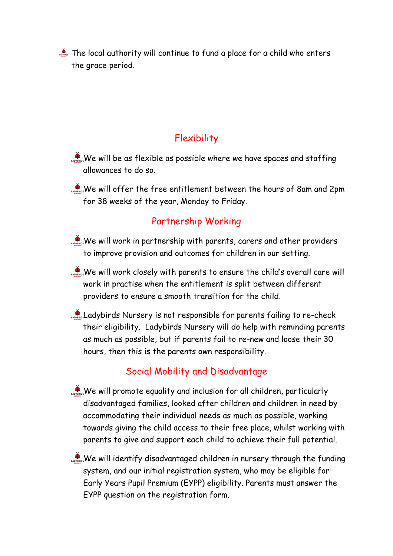The local authority will continue to fund a place for a child who enters the grace period.

#### **Flexibility**

- $\sum_{\text{coarse}}$ We will be as flexible as possible where we have spaces and staffing allowances to do so.
- We will offer the free entitlement between the hours of 8am and 2pm for 38 weeks of the year, Monday to Friday.

#### Partnership Working

- $\mathcal{L}_{\text{source}}$  We will work in partnership with parents, carers and other providers to improve provision and outcomes for children in our setting.
- We will work closely with parents to ensure the child's overall care will work in practise when the entitlement is split between different providers to ensure a smooth transition for the child.
- Ladybirds Nursery is not responsible for parents failing to re-check their eligibility. Ladybirds Nursery will do help with reminding parents as much as possible, but if parents fail to re-new and loose their 30 hours, then this is the parents own responsibility.

#### Social Mobility and Disadvantage

- We will promote equality and inclusion for all children, particularly disadvantaged families, looked after children and children in need by accommodating their individual needs as much as possible, working towards giving the child access to their free place, whilst working with parents to give and support each child to achieve their full potential.
- We will identify disadvantaged children in nursery through the funding system, and our initial registration system, who may be eligible for Early Years Pupil Premium (EYPP) eligibility. Parents must answer the EYPP question on the registration form.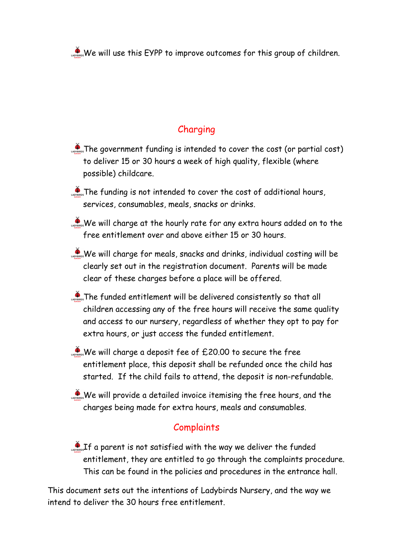We will use this EYPP to improve outcomes for this group of children.

## Charging

- **The government funding is intended to cover the cost (or partial cost)** to deliver 15 or 30 hours a week of high quality, flexible (where possible) childcare.
- **The funding is not intended to cover the cost of additional hours,** services, consumables, meals, snacks or drinks.
- We will charge at the hourly rate for any extra hours added on to the free entitlement over and above either 15 or 30 hours.
- $\mathcal{L}_{\text{source}}$  We will charge for meals, snacks and drinks, individual costing will be clearly set out in the registration document. Parents will be made clear of these charges before a place will be offered.
- The funded entitlement will be delivered consistently so that all children accessing any of the free hours will receive the same quality and access to our nursery, regardless of whether they opt to pay for extra hours, or just access the funded entitlement.
- We will charge a deposit fee of  $£20.00$  to secure the free entitlement place, this deposit shall be refunded once the child has started. If the child fails to attend, the deposit is non-refundable.
- We will provide a detailed invoice itemising the free hours, and the charges being made for extra hours, meals and consumables.

## **Complaints**

If a parent is not satisfied with the way we deliver the funded entitlement, they are entitled to go through the complaints procedure. This can be found in the policies and procedures in the entrance hall.

This document sets out the intentions of Ladybirds Nursery, and the way we intend to deliver the 30 hours free entitlement.